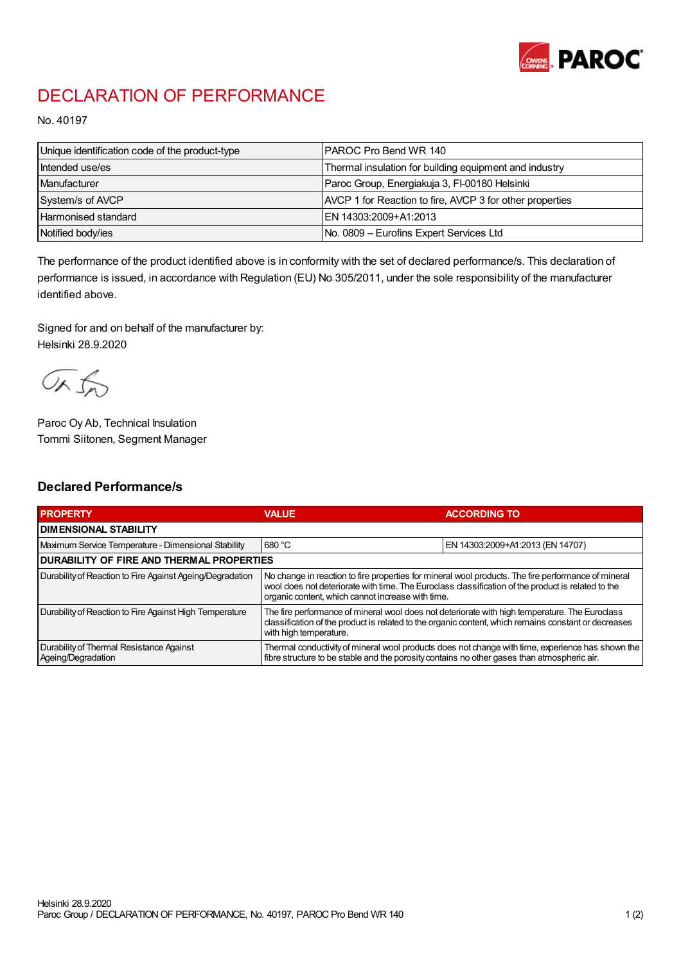

## DECLARATION OF PERFORMANCE

No. 40197

| Unique identification code of the product-type | I PAROC Pro Bend WR 140                                  |
|------------------------------------------------|----------------------------------------------------------|
| Intended use/es                                | Thermal insulation for building equipment and industry   |
| Manufacturer                                   | Paroc Group, Energiakuja 3, FI-00180 Helsinki            |
| System/s of AVCP                               | AVCP 1 for Reaction to fire, AVCP 3 for other properties |
| <b>Harmonised standard</b>                     | EN 14303:2009+A1:2013                                    |
| Notified body/ies                              | No. 0809 – Eurofins Expert Services Ltd                  |

The performance of the product identified above is in conformity with the set of declared performance/s. This declaration of performance is issued, in accordance with Regulation (EU) No 305/2011, under the sole responsibility of the manufacturer identified above.

Signed for and on behalf of the manufacturer by: Helsinki 28.9.2020

ORJO

Paroc Oy Ab, Technical Insulation Tommi Siitonen, Segment Manager

## Declared Performance/s

| <b>PROPERTY</b>                                                | <b>VALUE</b>                                                                                                                                                                                                                                                   | <b>ACCORDING TO</b>              |  |
|----------------------------------------------------------------|----------------------------------------------------------------------------------------------------------------------------------------------------------------------------------------------------------------------------------------------------------------|----------------------------------|--|
| <b>I DIMENSIONAL STABILITY</b>                                 |                                                                                                                                                                                                                                                                |                                  |  |
| Maximum Service Temperature - Dimensional Stability            | 680 °C                                                                                                                                                                                                                                                         | EN 14303:2009+A1:2013 (EN 14707) |  |
| <b>DURABILITY OF FIRE AND THERMAL PROPERTIES</b>               |                                                                                                                                                                                                                                                                |                                  |  |
| Durability of Reaction to Fire Against Ageing/Degradation      | No change in reaction to fire properties for mineral wool products. The fire performance of mineral<br>wool does not deteriorate with time. The Euroclass classification of the product is related to the<br>organic content, which cannot increase with time. |                                  |  |
| Durability of Reaction to Fire Against High Temperature        | The fire performance of mineral wool does not deteriorate with high temperature. The Euroclass<br>classification of the product is related to the organic content, which remains constant or decreases<br>with high temperature.                               |                                  |  |
| Durability of Thermal Resistance Against<br>Ageing/Degradation | Thermal conductivity of mineral wool products does not change with time, experience has shown the<br>fibre structure to be stable and the porosity contains no other gases than atmospheric air.                                                               |                                  |  |